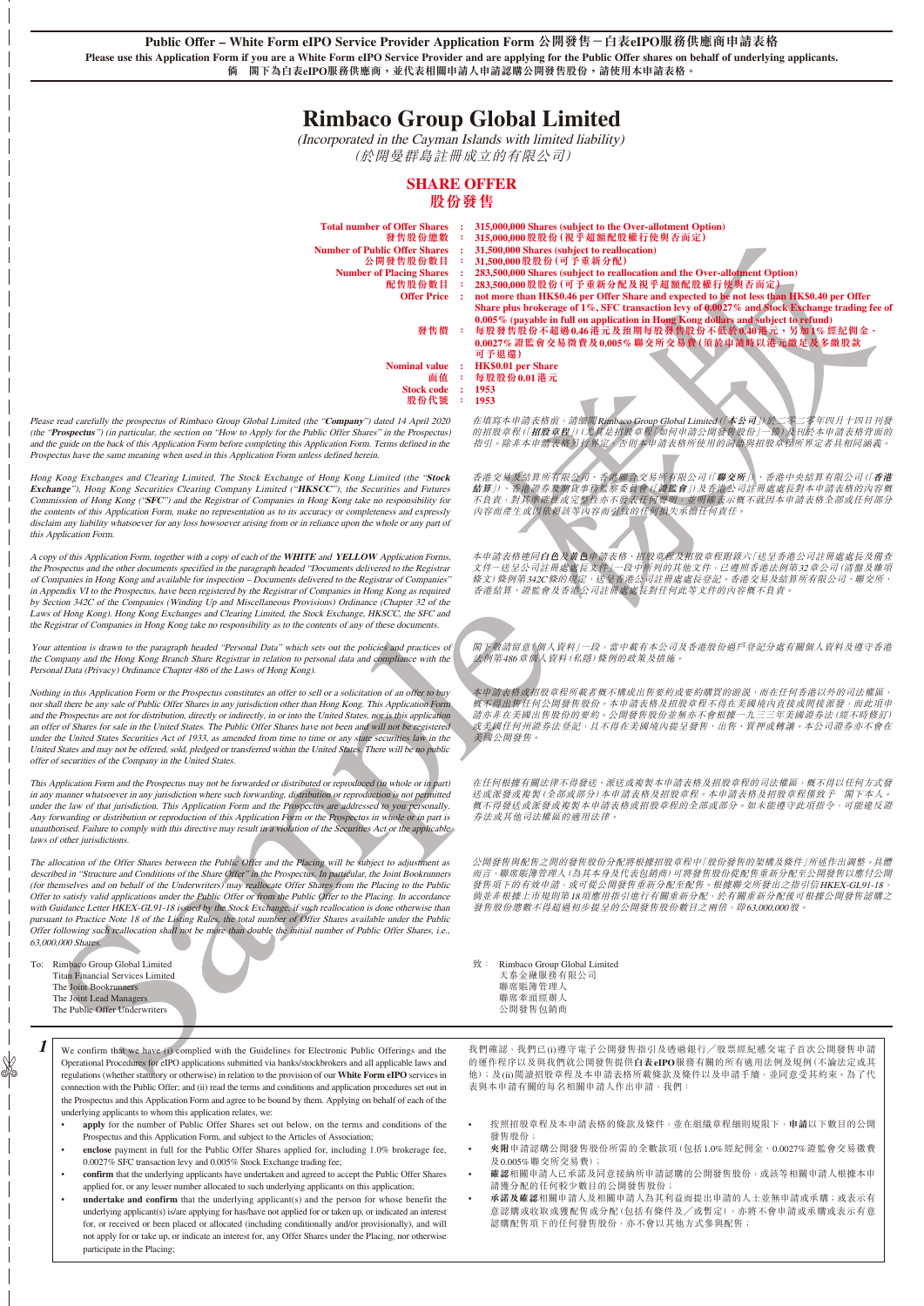**Public Offer – White Form eIPO Service Provider Application Form 公開發售-白表eIPO服務供應商申請表格 Please use this Application Form if you are a White Form eIPO Service Provider and are applying for the Public Offer shares on behalf of underlying applicants. 倘 閣下為白表eIPO服務供應商,並代表相關申請人申請認購公開發售股份,請使用本申請表格。**

# **Rimbaco Group Global Limited**

(Incorporated in the Cayman Islands with limited liability) (於開曼群島註冊成立的有限公司)

# **SHARE OFFER 股份發售**

| <b>Total number of Offer Shares</b><br>發售股份總數<br><b>Number of Public Offer Shares</b><br>公開發售股份數目<br><b>Number of Placing Shares</b><br>配售股份數目<br><b>Offer Price:</b>                                                                                                                                                                                                                                                                                                                                                                                                                                                                                                                                                                                                                                     | - 11<br>÷<br>$\mathbf{r}$<br>÷<br>$\mathbb{R}^2$<br>3 | 315,000,000 Shares (subject to the Over-allotment Option)<br>315,000,000股股份(視乎超額配股權行使與否而定)<br>31,500,000 Shares (subject to reallocation)<br>31,500,000股股份(可予重新分配)<br>283,500,000 Shares (subject to reallocation and the Over-allotment Option)<br>283,500,000股股份(可予重新分配及視乎超額配股權行使與否而定)<br>not more than HK\$0.46 per Offer Share and expected to be not less than HK\$0.40 per Offer<br>Share plus brokerage of 1%, SFC transaction levy of 0.0027% and Stock Exchange trading fee of<br>0.005% (payable in full on application in Hong Kong dollars and subject to refund) |  |
|-----------------------------------------------------------------------------------------------------------------------------------------------------------------------------------------------------------------------------------------------------------------------------------------------------------------------------------------------------------------------------------------------------------------------------------------------------------------------------------------------------------------------------------------------------------------------------------------------------------------------------------------------------------------------------------------------------------------------------------------------------------------------------------------------------------|-------------------------------------------------------|-------------------------------------------------------------------------------------------------------------------------------------------------------------------------------------------------------------------------------------------------------------------------------------------------------------------------------------------------------------------------------------------------------------------------------------------------------------------------------------------------------------------------------------------------------------------------------|--|
| 發售價 :<br><b>Nominal value</b>                                                                                                                                                                                                                                                                                                                                                                                                                                                                                                                                                                                                                                                                                                                                                                             | $\cdot$ :                                             | 每股發售股份不超過0.46港元及預期每股發售股份不低於0.40港元,另加1%經紀佣金、<br>0.0027%證監會交易徵費及0.005%聯交所交易費(須於申請時以港元繳足及多繳股款<br>可予退還)<br><b>HK\$0.01 per Share</b>                                                                                                                                                                                                                                                                                                                                                                                                                                              |  |
| 面值<br><b>Stock code</b><br>股份代號                                                                                                                                                                                                                                                                                                                                                                                                                                                                                                                                                                                                                                                                                                                                                                           | ÷<br>$\sim$<br>1953<br>1953<br>÷                      | 每股股份0.01港元                                                                                                                                                                                                                                                                                                                                                                                                                                                                                                                                                                    |  |
| e read carefully the prospectus of Rimbaco Group Global Limited (the "Company") dated 14 April 2020<br>Prospectus") (in particular, the section on "How to Apply for the Public Offer Shares" in the Prospectus)<br>he guide on the back of this Application Form before completing this Application Form. Terms defined in the<br>pectus have the same meaning when used in this Application Form unless defined herein.                                                                                                                                                                                                                                                                                                                                                                                 |                                                       | 在填寫本申請表格前,請細閱Rimbaco Group Global Limited(「本公司」)於二零二零年四月十四日刊發<br>的招股章程(「招股章程」)(尤其是招股章程「如何申請公開發售股份」一節)及刊於本申請表格背面的<br>指引。除非本申請表格另行界定《否則本申請表格所使用的詞語與招股章程所界定者具相同涵義。                                                                                                                                                                                                                                                                                                                                                                                                               |  |
| Kong Exchanges and Clearing Limited, The Stock Exchange of Hong Kong Limited (the "Stock<br>ange"), Hong Kong Securities Clearing Company Limited ("HKSCC"), the Securities and Futures<br>mission of Hong Kong ("SFC") and the Registrar of Companies in Hong Kong take no responsibility for<br>ontents of this Application Form, make no representation as to its accuracy or completeness and expressly<br>im any liability whatsoever for any loss howsoever arising from or in reliance upon the whole or any part of<br>Application Form.                                                                                                                                                                                                                                                          |                                                       | 香港交易及結算所有限公司、香港聯合交易所有限公司(「聯交所」)、香港中央結算有限公司(「香港<br>結算」)、香港證券及期貨事務監察委員會(「證監會」)及香港公司註冊處處長對本申請表格的內容機<br>不負責,對其準確性或完整性亦不發表任何聲明,並明確表示概不就因本申請表格全部或任何部分<br>內容而產生或因依賴該等內容而引致的任何損失承擔任何責任。                                                                                                                                                                                                                                                                                                                                                                                               |  |
| by of this Application Form, together with a copy of each of the WHITE and YELLOW Application Forms,<br>rospectus and the other documents specified in the paragraph headed "Documents delivered to the Registrar<br>"mompanies in Hong Kong and available for inspection - Documents delivered to the Registrar of Companies<br>pendix VI to the Prospectus, have been registered by the Registrar of Companies in Hong Kong as required<br>ection 342C of the Companies (Winding Up and Miscellaneous Provisions) Ordinance (Chapter 32 of the<br>of Hong Kong). Hong Kong Exchanges and Clearing Limited, the Stock Exchange, HKSCC, the SFC and<br>egistrar of Companies in Hong Kong take no responsibility as to the contents of any of these documents.                                            |                                                       | 本申請表格連同白色及黃色申請表格、招股章程及招股章程附錄六「送呈香港公司註冊處處長及備查<br>文件-送呈公司註冊處處長文件】一段中所列的其他文件,已遵照香港法例第32章公司(清盤及雜項<br>條文)條例第342C條的規定,送呈香港公司註冊處處長登記。香港交易及結算所有限公司、聯交所·<br>香港結算、證監會及香港公司註冊處處長對任何此等文件的內容概不負責。                                                                                                                                                                                                                                                                                                                                                                                          |  |
| attention is drawn to the paragraph headed "Personal Data" which sets out the policies and practices of<br>ompany and the Hong Kong Branch Share Registrar in relation to personal data and compliance with the<br>nal Data (Privacy) Ordinance Chapter 486 of the Laws of Hong Kong).                                                                                                                                                                                                                                                                                                                                                                                                                                                                                                                    |                                                       | 閣下敬請留意M個人資料」一段,當中載有本公司及香港股份過戶登記分處有關個人資料及遵守香港<br>法例第486章個人資料(私隱)條例的政策及措施。                                                                                                                                                                                                                                                                                                                                                                                                                                                                                                      |  |
| ing in this Application Form or the Prospectus constitutes an offer to sell or a solicitation of an offer to buy<br>hall there be any sale of Public Offer Shares in any jurisdiction other than Hong Kong. This Application Form<br>he Prospectus are not for distribution, directly or indirectly, in or into the United States, nor is this application<br>fer of Shares for sale in the United States. The Public Offer Shares have not been and will not be registered<br>the United States Securities Act of 1933, as amended from time to time or any state securities law in the<br>d States and may not be offered, sold, pledged or transferred within the United States. There will be no public<br>of securities of the Company in the United States.                                         |                                                       | 本申請表格或招股章程所載者概不構成出售要約或要約購買的游説,而在任何香港以外的司法權區<br>概不得出售任何公開發售股份。本申請表格及招股章程不得在美國境內直接或間接派發,而此項申<br>請亦非在美國出售股份的要約。公開發售股份並無亦不會根據一九三三年美國證券法 (經不時修訂)<br>·或美國任何州證券法登記,且不得在美國境內提呈發售、出售、質押或轉讓。本公司證券亦不會在<br>美國公開發售。                                                                                                                                                                                                                                                                                                                                                                        |  |
| Application Form and the Prospectus may not be forwarded or distributed or reproduced (in whole or in part)<br>y manner whatsoever in any jurisdiction where such forwarding, distribution or reproduction is not permitted<br>the law of that jurisdiction. This Application Form and the Prospectus are addressed to you personally.<br>forwarding or distribution or reproduction of this Application Form or the Prospectus in whole or in part is<br>horised. Failure to comply with this directive may result in a violation of the Securities Act or the applicable<br>of other jurisdictions.                                                                                                                                                                                                     |                                                       | 在任何根據有關法律不得發送、派送或複製本申請表格及招股章程的司法權區,概不得以任何方式發<br>送或派發或複製(全部或部分)本申請表格及招股章程。本申請表格及招股章程僅致予 閣下本人。<br>概不得發送或派發或複製本申請表格或招股章程的全部或部分。如未能遵守此項指令,可能違反證<br>券法或其他司法權區的適用法律。                                                                                                                                                                                                                                                                                                                                                                                                                |  |
| allocation of the Offer Shares between the Public Offer and the Placing will be subject to adjustment as<br>ibed in "Structure and Conditions of the Share Offer" in the Prospectus. In particular, the Joint Bookrunners<br>hemselves and on behalf of the Underwriters) may reallocate Offer Shares from the Placing to the Public<br>to satisfy valid applications under the Public Offer or from the Public Offer to the Placing. In accordance<br>Guidance Letter HKEX-GL91-18 issued by the Stock Exchange, if such reallocation is done otherwise than<br>ant to Practice Note 18 of the Listing Rules, the total number of Offer Shares available under the Public<br>following such reallocation shall not be more than double the initial number of Public Offer Shares, i.e.,<br>0,000 Shares. |                                                       | 公開發售與配售之間的發售股份分配將根據招股章程中「股份發售的架構及條件」所述作出調整。具體<br>而言,聯席賬簿管理人(為其本身及代表包銷商)可將發售股份從配售重新分配至公開發售以應付公開<br>發售項下的有效申請,或可從公開發售重新分配至配售。根據聯交所發出之指引信HKEX-GL91-18,<br>倘並非根據上市規則第18項應用指引進行有關重新分配,於有關重新分配後可根據公開發售認購之<br>發售股份總數不得超過初步提呈的公開發售股份數目之兩倍,即63,000,000股。                                                                                                                                                                                                                                                                                                                               |  |
| Rimbaco Group Global Limited<br><b>Titan Financial Services Limited</b><br>The Joint Bookrunners<br>The Joint Lead Managers<br>The Public Offer Underwriters                                                                                                                                                                                                                                                                                                                                                                                                                                                                                                                                                                                                                                              |                                                       | 致: Rimbaco Group Global Limited<br>天泰金融服務有限公司<br>聯席賬簿管理人<br>聯席牽頭經辦人<br>公開發售包銷商                                                                                                                                                                                                                                                                                                                                                                                                                                                                                                |  |
| We confirm that we have (i) complied with the Guidelines for Electronic Public Offerings and the<br>Operational Procedures for eIPO applications submitted via banks/stockbrokers and all applicable laws and<br>regulations (whether statutory or otherwise) in relation to the provision of our White Form eIPO services in                                                                                                                                                                                                                                                                                                                                                                                                                                                                             |                                                       | 我們確認,我們已(i)遵守電子公開發售指引及透過銀行/股票經紀遞交電子首次公開發售申請<br>的運作程序以及與我們就公開發售提供白表eIPO服務有關的所有適用法例及規例(不論法定或其<br>他);及(ii)閲讀招股章程及本申請表格所載條款及條件以及申請手續,並同意受其約束。為了代                                                                                                                                                                                                                                                                                                                                                                                                                                  |  |

Please read carefully the prospectus of Rimbaco Group Global Limite (the "Prospectus") (in particular, the section on "How to Apply for the and the guide on the back of this Application Form before completing the Prospectus have the same meaning when used in this Application Form

Hong Kong Exchanges and Clearing Limited, The Stock Exchange of Hong Kong Limited (the "**Stock Exchange**"), Hong Kong Securities Clearing Company Limited ("**HKSCC**"), the Securities and Futures Commission of Hong Kong ("**SFC**") and the Registrar of Companies in Hong Kong take no responsibility for the contents of this Application Form, make no representation as to its accuracy or completeness and expressly disclaim any liability whatsoever for any loss howsoever arising from or in reliance upon the whole or any part of this Application Form.

A copy of this Application Form, together with a copy of each of the **WHITE** and **YELLOW** Application Forms, the Prospectus and the other documents specified in the paragraph headed "Documents delivered to the Registrar of Companies in Hong Kong and available for inspection – Documents delivered to the Registrar of Companies" in Appendix VI to the Prospectus, have been registered by the Registrar of Companies in Hong Kong as required by Section 342C of the Companies (Winding Up and Miscellaneous Provisions) Ordinance (Chapter 32 of the Laws of Hong Kong). Hong Kong Exchanges and Clearing Limited, the Stock Exchange, HKSCC, the SFC and the Registrar of Companies in Hong Kong take no responsibility as to the contents of any of these documents.

Your attention is drawn to the paragraph headed "Personal Data" which sets out the policies and practices of the Company and the Hong Kong Branch Share Registrar in relation to personal data and compliance with the Personal Data (Privacy) Ordinance Chapter 486 of the Laws of Hong Kong).

Nothing in this Application Form or the Prospectus constitutes an offer to sell or a solicitation of an offer to buy nor shall there be any sale of Public Offer Shares in any jurisdiction other than Hong Kong. This Application Form and the Prospectus are not for distribution, directly or indirectly, in or into the United States, nor is this application an offer of Shares for sale in the United States. The Public Offer Shares have not been and will not be registered under the United States Securities Act of 1933, as amended from time to time or any state securities law in the<br>United States and may not be offered, sold, pledged or transferred within the United States. There will be no offer of securities of the Company in the United States.

To: Rimbaco Group Global Limited Titan Financial Services Limited The Joint Bookrunners The Joint Lead Managers The Public Offer Underwriters

✄

**1** We confirm that we have (i) complied with the Guidelines for Electronic Public Offerings and the Operational Procedures for eIPO applications submitted via banks/stockbrokers and all applicable laws and regulations (whether statutory or otherwise) in relation to the provision of our **White Form eIPO** services in connection with the Public Offer; and (ii) read the terms and conditions and application procedures set out in the Prospectus and this Application Form and agree to be bound by them. Applying on behalf of each of the underlying applicants to whom this application relates, we:

- **apply** for the number of Public Offer Shares set out below, on the terms and conditions of the Prospectus and this Application Form, and subject to the Articles of Association;
- **enclose** payment in full for the Public Offer Shares applied for, including 1.0% brokerage fee, 0.0027% SFC transaction levy and 0.005% Stock Exchange trading fee;
- **confirm** that the underlying applicants have undertaken and agreed to accept the Public Offer Shares applied for, or any lesser number allocated to such underlying applicants on this application;
- undertake and confirm that the underlying applicant(s) and the person for whose benefit the underlying applicant(s) is/are applying for has/have not applied for or taken up, or indicated an interest for, or received or been placed or allocated (including conditionally and/or provisionally), and will not apply for or take up, or indicate an interest for, any Offer Shares under the Placing, nor otherwise participate in the Placing;

我們確認,我們已(i)遵守電子公開發售指引及透過銀行/股票經紀遞交電子首次公開發售申請 的運作程序以及與我們就公開發售提供**白表eIPO**服務有關的所有適用法例及規例(不論法定或其 他);及(ii)閱讀招股章程及本申請表格所載條款及條件以及申請手續,並同意受其約束。為了代 表與本申請有關的每名相關申請人作出申請,我們:

- 按照招股章程及本申請表格的條款及條件,並在組織章程細則規限下,**申請**以下數目的公開 發售股份;
- **夾附**申請認購公開發售股份所需的全數款項(包括1.0%經紀佣金、0.0027%證監會交易徵費 及0.005%聯交所交易費);
- **確認**相關申請人已承諾及同意接納所申請認購的公開發售股份,或該等相關申請人根據本申 請獲分配的任何較少數目的公開發售股份;
- **承諾及確認**相關申請人及相關申請人為其利益而提出申請的人士並無申請或承購;或表示有 → moon=ne man + mp covinus + mp covinus + mp covinus + mp compared + mp compared + mp compared + mp covinus + mp cov<br>意認購或收取或獲配售或分配 (包括有條件及/或暫定) , 亦將不會申請或承購或表示有意 認購配售項下的任何發售股份,亦不會以其他方式參與配售;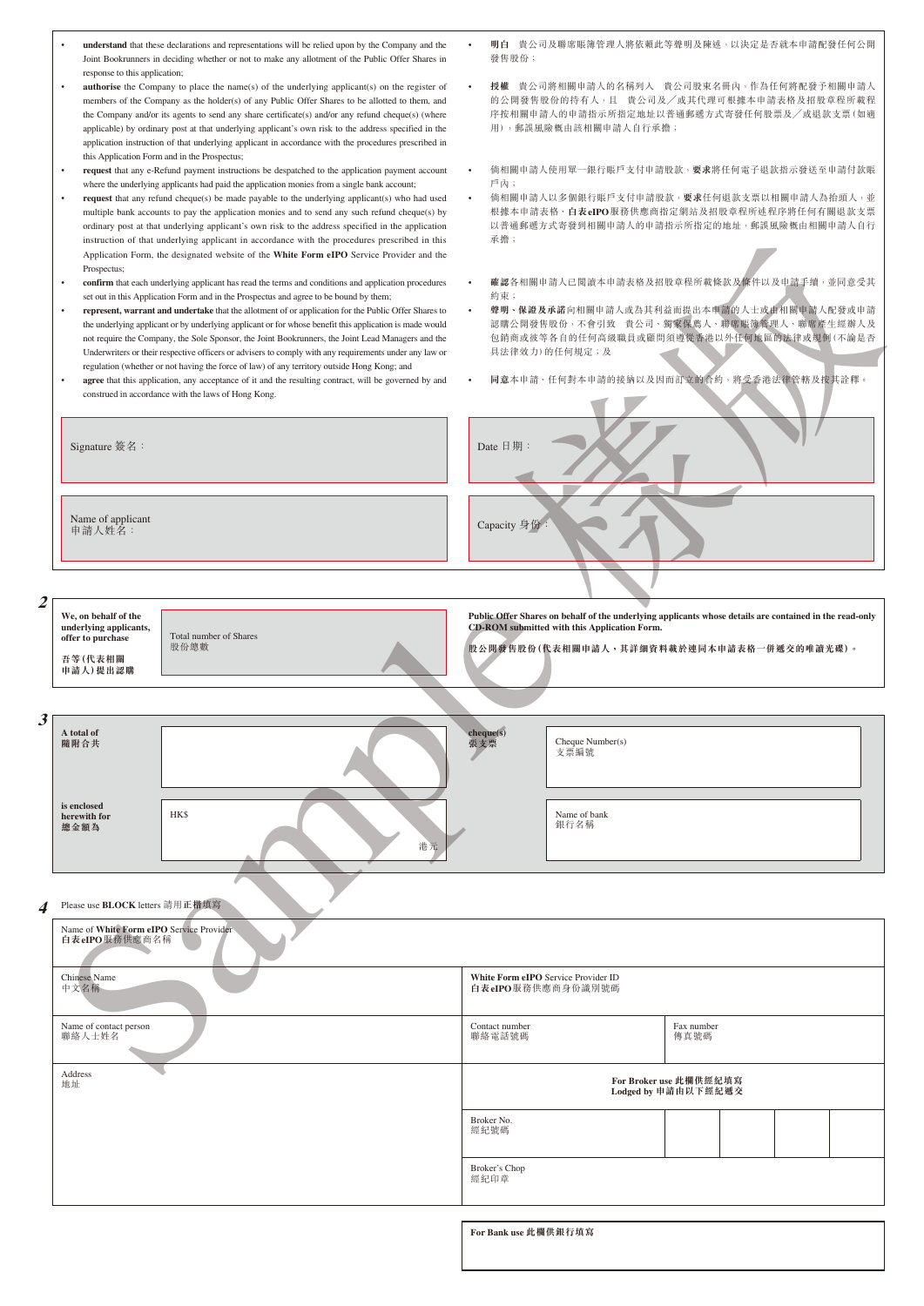|   | understand that these declarations and representations will be relied upon by the Company and the<br>Joint Bookrunners in deciding whether or not to make any allotment of the Public Offer Shares in                                                                                                                                                                                                                                                                                                                                                                                                                                                                                                                                                                                                                                                                                                      | 發售股份;                                                    | 明白 貴公司及聯席賬簿管理人將依賴此等聲明及陳述,以決定是否就本申請配發任何公開                                                                                                                                                                               |  |  |  |  |  |
|---|------------------------------------------------------------------------------------------------------------------------------------------------------------------------------------------------------------------------------------------------------------------------------------------------------------------------------------------------------------------------------------------------------------------------------------------------------------------------------------------------------------------------------------------------------------------------------------------------------------------------------------------------------------------------------------------------------------------------------------------------------------------------------------------------------------------------------------------------------------------------------------------------------------|----------------------------------------------------------|------------------------------------------------------------------------------------------------------------------------------------------------------------------------------------------------------------------------|--|--|--|--|--|
|   | response to this application;<br><b>authorise</b> the Company to place the name(s) of the underlying applicant(s) on the register of<br>$\bullet$<br>members of the Company as the holder(s) of any Public Offer Shares to be allotted to them, and<br>the Company and/or its agents to send any share certificate(s) and/or any refund cheque(s) (where<br>applicable) by ordinary post at that underlying applicant's own risk to the address specified in the<br>application instruction of that underlying applicant in accordance with the procedures prescribed in<br>this Application Form and in the Prospectus;                                                                                                                                                                                                                                                                                   | 用),郵誤風險概由該相關申請人自行承擔;                                     | 授權 貴公司將相關申請人的名稱列入 貴公司股東名冊內,作為任何將配發予相關申請人<br>的公開發售股份的持有人,且 貴公司及/或其代理可根據本申請表格及招股章程所載程<br>序按相關申請人的申請指示所指定地址以普通郵遞方式寄發任何股票及/或退款支票(如適                                                                                        |  |  |  |  |  |
|   | request that any e-Refund payment instructions be despatched to the application payment account                                                                                                                                                                                                                                                                                                                                                                                                                                                                                                                                                                                                                                                                                                                                                                                                            |                                                          | 倘相關申請人使用單一銀行賬戶支付申請股款, <b>要求</b> 將任何電子退款指示發送至申請付款賬                                                                                                                                                                      |  |  |  |  |  |
|   | where the underlying applicants had paid the application monies from a single bank account;<br>request that any refund cheque(s) be made payable to the underlying applicant(s) who had used<br>$\bullet$<br>multiple bank accounts to pay the application monies and to send any such refund cheque(s) by<br>ordinary post at that underlying applicant's own risk to the address specified in the application<br>instruction of that underlying applicant in accordance with the procedures prescribed in this<br>Application Form, the designated website of the White Form eIPO Service Provider and the<br>Prospectus;                                                                                                                                                                                                                                                                                | 戶內;<br>承擔;                                               | 倘相關申請人以多個銀行賬戶支付申請股款, <b>要求</b> 任何退款支票以相關申請人為抬頭人, 並<br>根據本申請表格、白表eIPO服務供應商指定網站及招股章程所述程序將任何有關退款支票<br>以普通郵遞方式寄發到相關申請人的申請指示所指定的地址,郵誤風險概由相關申請人自行                                                                            |  |  |  |  |  |
|   | confirm that each underlying applicant has read the terms and conditions and application procedures<br>set out in this Application Form and in the Prospectus and agree to be bound by them;<br>represent, warrant and undertake that the allotment of or application for the Public Offer Shares to<br>$\bullet$<br>the underlying applicant or by underlying applicant or for whose benefit this application is made would<br>not require the Company, the Sole Sponsor, the Joint Bookrunners, the Joint Lead Managers and the<br>Underwriters or their respective officers or advisers to comply with any requirements under any law or<br>regulation (whether or not having the force of law) of any territory outside Hong Kong; and<br>agree that this application, any acceptance of it and the resulting contract, will be governed by and<br>construed in accordance with the laws of Hong Kong. | 約束;<br>具法律效力)的任何規定;及                                     | 確認各相關申請人已閲讀本申請表格及招股章程所載條款及條件以及申請手續,並同意受其<br>聲明、保證及承諾向相關申請人或為其利益而提出本申請的人士或由相關申請人配發或申請<br>認購公開發售股份,不會引致 貴公司、獨家保薦人、聯席賬簿管理人、聯席產生經辦人及<br>包銷商或彼等各自的任何高級職員或顧問須遵從香港以外任何地區的法律或規例(不論是否<br>同意本申請、任何對本申請的接納以及因而訂立的合約,將受香港法律管轄及按其詮釋 |  |  |  |  |  |
|   | Signature 簽名:                                                                                                                                                                                                                                                                                                                                                                                                                                                                                                                                                                                                                                                                                                                                                                                                                                                                                              | Date 日期:                                                 |                                                                                                                                                                                                                        |  |  |  |  |  |
|   | Name of applicant<br>申請人姓名:                                                                                                                                                                                                                                                                                                                                                                                                                                                                                                                                                                                                                                                                                                                                                                                                                                                                                | Capacity 身份:                                             |                                                                                                                                                                                                                        |  |  |  |  |  |
|   |                                                                                                                                                                                                                                                                                                                                                                                                                                                                                                                                                                                                                                                                                                                                                                                                                                                                                                            |                                                          |                                                                                                                                                                                                                        |  |  |  |  |  |
|   | We, on behalf of the<br>Public Offer Shares on behalf of the underlying applicants whose details are contained in the read-only<br>CD-ROM submitted with this Application Form.<br>underlying applicants,<br>Total number of Shares<br>offer to purchase<br>股份總數<br>股公開發售股份(代表相關申請人,其詳細資料載於連同本申請表格一併遞交的唯讀光碟)。<br>吾等(代表相關<br>申請人)提出認購                                                                                                                                                                                                                                                                                                                                                                                                                                                                                                                                                                       |                                                          |                                                                                                                                                                                                                        |  |  |  |  |  |
| 3 |                                                                                                                                                                                                                                                                                                                                                                                                                                                                                                                                                                                                                                                                                                                                                                                                                                                                                                            |                                                          |                                                                                                                                                                                                                        |  |  |  |  |  |
|   | A total of<br>隨附合共                                                                                                                                                                                                                                                                                                                                                                                                                                                                                                                                                                                                                                                                                                                                                                                                                                                                                         | cheque(s)<br>Cheque Number(s)<br>張支票<br>支票編號             |                                                                                                                                                                                                                        |  |  |  |  |  |
|   | is enclosed<br>HK\$<br>herewith for<br>總金額為<br>港元                                                                                                                                                                                                                                                                                                                                                                                                                                                                                                                                                                                                                                                                                                                                                                                                                                                          | Name of bank<br>銀行名稱                                     |                                                                                                                                                                                                                        |  |  |  |  |  |
| 4 | Please use <b>BLOCK</b> letters 請用正楷填寫                                                                                                                                                                                                                                                                                                                                                                                                                                                                                                                                                                                                                                                                                                                                                                                                                                                                     |                                                          |                                                                                                                                                                                                                        |  |  |  |  |  |
|   | Name of White Form eIPO Service Provider<br>白表eIPO服務供應商名稱                                                                                                                                                                                                                                                                                                                                                                                                                                                                                                                                                                                                                                                                                                                                                                                                                                                  |                                                          |                                                                                                                                                                                                                        |  |  |  |  |  |
|   | <b>Chinese Name</b><br>中文名稱                                                                                                                                                                                                                                                                                                                                                                                                                                                                                                                                                                                                                                                                                                                                                                                                                                                                                | White Form eIPO Service Provider ID<br>白表eIPO服務供應商身份識別號碼 |                                                                                                                                                                                                                        |  |  |  |  |  |
|   | Name of contact person                                                                                                                                                                                                                                                                                                                                                                                                                                                                                                                                                                                                                                                                                                                                                                                                                                                                                     | Contact number<br>聯絡電話號碼                                 | Fax number<br>傳真號碼                                                                                                                                                                                                     |  |  |  |  |  |
|   | 聯絡人士姓名                                                                                                                                                                                                                                                                                                                                                                                                                                                                                                                                                                                                                                                                                                                                                                                                                                                                                                     |                                                          |                                                                                                                                                                                                                        |  |  |  |  |  |
|   | Address<br>地址                                                                                                                                                                                                                                                                                                                                                                                                                                                                                                                                                                                                                                                                                                                                                                                                                                                                                              |                                                          | For Broker use 此欄供經紀填寫<br>Lodged by 申請由以下經紀遞交                                                                                                                                                                          |  |  |  |  |  |
|   |                                                                                                                                                                                                                                                                                                                                                                                                                                                                                                                                                                                                                                                                                                                                                                                                                                                                                                            | Broker No.<br>經紀號碼                                       |                                                                                                                                                                                                                        |  |  |  |  |  |
|   |                                                                                                                                                                                                                                                                                                                                                                                                                                                                                                                                                                                                                                                                                                                                                                                                                                                                                                            | Broker's Chop<br>經紀印章                                    |                                                                                                                                                                                                                        |  |  |  |  |  |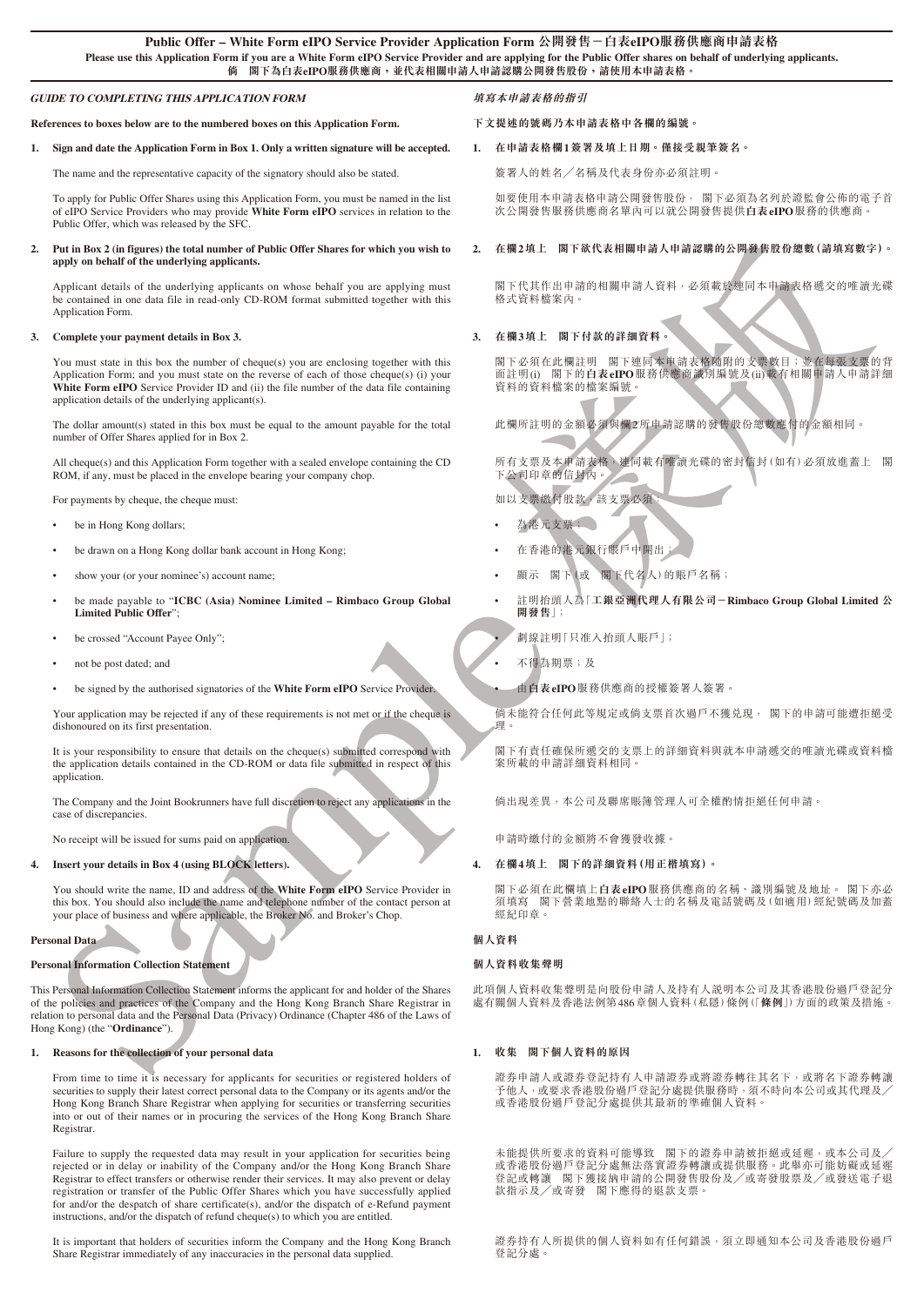## **GUIDE TO COMPLETING THIS APPLICATION FORM**

**References to boxes below are to the numbered boxes on this Application Form.**

#### **1. Sign and date the Application Form in Box 1. Only a written signature will be accepted.**

The name and the representative capacity of the signatory should also be stated.

To apply for Public Offer Shares using this Application Form, you must be named in the list of eIPO Service Providers who may provide **White Form eIPO** services in relation to the Public Offer, which was released by the SFC.

#### **2. Put in Box 2 (in figures) the total number of Public Offer Shares for which you wish to apply on behalf of the underlying applicants.**

Applicant details of the underlying applicants on whose behalf you are applying must be contained in one data file in read-only CD-ROM format submitted together with this Application Form.

#### **3. Complete your payment details in Box 3.**

You must state in this box the number of cheque(s) you are enclosing together with this Application Form; and you must state on the reverse of each of those cheque(s) (i) your White Form eIPO Service Provider ID and (ii) the file number of the data file containing application details of the underlying applicant(s).

The dollar amount(s) stated in this box must be equal to the amount payable for the total number of Offer Shares applied for in Box 2.

All cheque(s) and this Application Form together with a sealed envelope containing the CD ROM, if any, must be placed in the envelope bearing your company chop.

For payments by cheque, the cheque must

- be in Hong Kong dollars;
- be drawn on a Hong Kong dollar bank account in Hong Kong;
- show your (or your nominee's) account name;
- be made payable to "**ICBC (Asia) Nominee Limited Rimbaco Group Global Limited Public Offer**";
- be crossed "Account Payee Only";
- not be post dated; and
- be signed by the authorised signatories of the **White Form eIPO** Service Provider.

Your application may be rejected if any of these requirements is not met or if the cheque is dishonoured on its first presentation.

It is your responsibility to ensure that details on the cheque(s) submitted correspond with the application details contained in the CD-ROM or data file submitted in respect of this application.

The Company and the Joint Bookrunners have full discretion to reject any applications in the case of discrepancies.

No receipt will be issued for sums paid on application.

**4. Insert your details in Box 4 (using BLOCK letters).**

You should write the name, ID and address of the **White Form eIPO** Service Provider in this box. You should also include the name and telephone number of the contact person at your place of business and where applicable, the Broker No. and Broker's Chop.

# **Personal Data**

#### **Personal Information Collection Statement**

For the same of the same of the same of the same of the same of the same of the same of the same of the same of the same of the same of the same of the same of the same of the same of the same of the same of the same of t This Personal Information Collection Statement informs the applicant for and holder of the Shares of the policies and practices of the Company and the Hong Kong Branch Share Registrar in relation to personal data and the Personal Data (Privacy) Ordinance (Chapter 486 of the Laws of Hong Kong) (the "**Ordinance**").

#### **1. Reasons for the collection of your personal data**

From time to time it is necessary for applicants for securities or registered holders of securities to supply their latest correct personal data to the Company or its agents and/or the Hong Kong Branch Share Registrar when applying for securities or transferring securities into or out of their names or in procuring the services of the Hong Kong Branch Share Registrar.

Failure to supply the requested data may result in your application for securities being rejected or in delay or inability of the Company and/or the Hong Kong Branch Share Registrar to effect transfers or otherwise render their services. It may also prevent or delay registration or transfer of the Public Offer Shares which you have successfully applied for and/or the despatch of share certificate(s), and/or the dispatch of e-Refund payment instructions, and/or the dispatch of refund cheque(s) to which you are entitled.

It is important that holders of securities inform the Company and the Hong Kong Branch Share Registrar immediately of any inaccuracies in the personal data supplied.

## **填寫本申請表格的指引**

**下文提述的號碼乃本申請表格中各欄的編號。**

# **1. 在申請表格欄1簽署及填上日期。僅接受親筆簽名。**

簽署人的姓名╱名稱及代表身份亦必須註明。

如要使用本申請表格申請公開發售股份, 閣下必須為名列於證監會公佈的電子首 次公開發售服務供應商名單內可以就公開發售提供**白表eIPO**服務的供應商。

## **2. 在欄2填上 閣下欲代表相關申請人申請認購的公開發售股份總數(請填寫數字)。**

閣下代其作出申請的相關申請人資料,必須載於連同本申請表格遞交的唯讀光碟 格式資料檔案內。

# **3. 在欄3填上 閣下付款的詳細資料。**

閣下必須在此欄註明 閣下連同本电請表格隨附的支票數目;並在每張支票的背<br>面註明(j) 閣下的白表eIPO服務供應商議別編號及(ji)載有相關申請人申請詳細 面註明(i) 閣下的**白表eIPO**服務供應商識別編號及(ii)載有相關申請人申請詳細 简化分泌、常常的症案编號。

此欄所註明的金額必須與欄2所申請認購的發售股份總數應付的金額相同。

所有支票及本申請表格,連同載有唯讀光碟的密封信封(如有)必須放進蓋上 閣 下公司印章的信封內。

如以支票繳付股款,該支票必須:

- 為港元支票;
- 在香港的港元銀行賬戶中開出;
- 顯示 閣下(或 閣下代名人)的賬戶名稱;
- 註明抬頭人為「**工銀亞洲代理人有限公司-Rimbaco Group Global Limited 公 開發售**」;

• 劃線註明「只准入抬頭人賬戶」;

- 不得為期票;及
- 由**白表eIPO**服務供應商的授權簽署人簽署。

倘未能符合任何此等規定或倘支票首次過戶不獲兌現, 閣下的申請可能遭拒絕受 理。

閣下有責任確保所遞交的支票上的詳細資料與就本申請遞交的唯讀光碟或資料檔 案所載的申請詳細資料相同。

倘出現差異,本公司及聯席賬簿管理人可全權酌情拒絕任何申請。

申請時繳付的金額將不會獲發收據。

#### **4. 在欄4填上 閣下的詳細資料(用正楷填寫)。**

閣下必須在此欄填上**白表eIPO**服務供應商的名稱、識別編號及地址。 閣下亦必 須填寫 閣下營業地點的聯絡人士的名稱及電話號碼及(如適用)經紀號碼及加蓋 經紀印章。

# **個人資料**

# **個人資料收集聲明**

此項個人資料收集聲明是向股份申請人及持有人說明本公司及其香港股份過戶登記分 處有關個人資料及香港法例第486章個人資料(私隱)條例(「**條例**」)方面的政策及措施。

## **1. 收集 閣下個人資料的原因**

證券申請人或證券登記持有人申請證券或將證券轉往其名下,或將名下證券轉讓 <sub>||</sub><br>|ラ他人,或要求香港股份過戶登記分處提供服務時,須不時向本公司或其代理及╱ 或香港股份過戶登記分處提供其最新的準確個人資料。

未能提供所要求的資料可能導致 閣下的證券申請被拒絕或延遲,或本公司及 或香港股份過戶登記分處無法落實證券轉讓或提供服務。此舉亦可能妨礙或延遲 登記或轉讓 閣下獲接納申請的公開發售股份及╱或寄發股票及╱或發送電子退 款指示及╱或寄發 閣下應得的退款支票。

證券持有人所提供的個人資料如有任何錯誤,須立即通知本公司及香港股份過戶 登記分處。